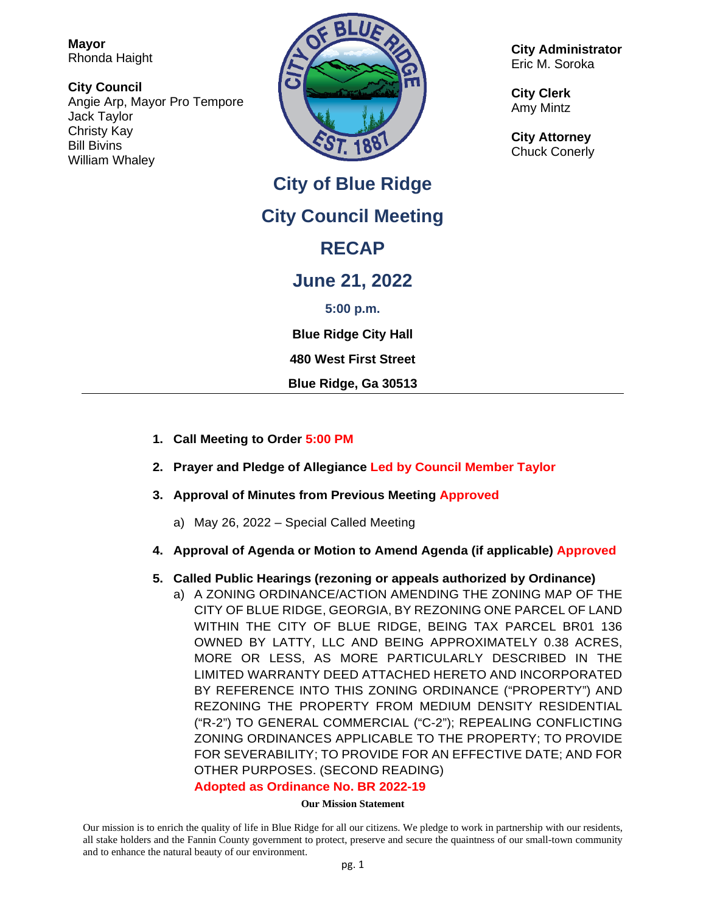**Mayor** Rhonda Haight

**City Council** Angie Arp, Mayor Pro Tempore Jack Taylor Christy Kay Bill Bivins William Whaley



**City of Blue Ridge City Council Meeting RECAP June 21, 2022 5:00 p.m. Blue Ridge City Hall**

**480 West First Street**

**Blue Ridge, Ga 30513**

- **1. Call Meeting to Order 5:00 PM**
- **2. Prayer and Pledge of Allegiance Led by Council Member Taylor**
- **3. Approval of Minutes from Previous Meeting Approved**
	- a) May 26, 2022 Special Called Meeting
- **4. Approval of Agenda or Motion to Amend Agenda (if applicable) Approved**

## **5. Called Public Hearings (rezoning or appeals authorized by Ordinance)**

a) A ZONING ORDINANCE/ACTION AMENDING THE ZONING MAP OF THE CITY OF BLUE RIDGE, GEORGIA, BY REZONING ONE PARCEL OF LAND WITHIN THE CITY OF BLUE RIDGE, BEING TAX PARCEL BR01 136 OWNED BY LATTY, LLC AND BEING APPROXIMATELY 0.38 ACRES, MORE OR LESS, AS MORE PARTICULARLY DESCRIBED IN THE LIMITED WARRANTY DEED ATTACHED HERETO AND INCORPORATED BY REFERENCE INTO THIS ZONING ORDINANCE ("PROPERTY") AND REZONING THE PROPERTY FROM MEDIUM DENSITY RESIDENTIAL ("R-2") TO GENERAL COMMERCIAL ("C-2"); REPEALING CONFLICTING ZONING ORDINANCES APPLICABLE TO THE PROPERTY; TO PROVIDE FOR SEVERABILITY; TO PROVIDE FOR AN EFFECTIVE DATE; AND FOR OTHER PURPOSES. (SECOND READING) **Adopted as Ordinance No. BR 2022-19**

# **Our Mission Statement**

Our mission is to enrich the quality of life in Blue Ridge for all our citizens. We pledge to work in partnership with our residents, all stake holders and the Fannin County government to protect, preserve and secure the quaintness of our small-town community and to enhance the natural beauty of our environment.

**City Administrator** Eric M. Soroka

**City Clerk** Amy Mintz

**City Attorney** Chuck Conerly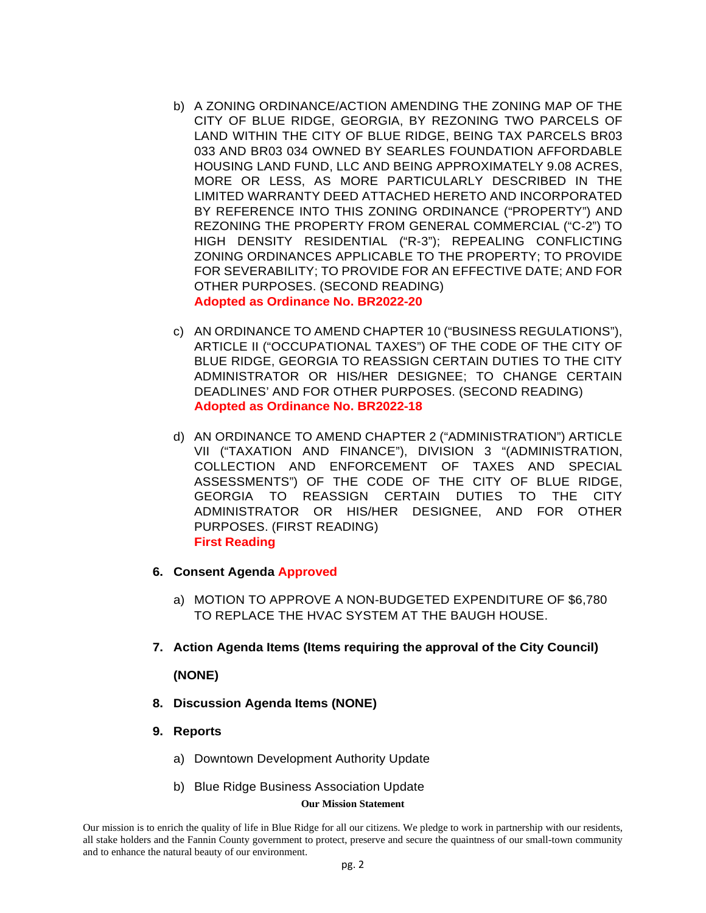- b) A ZONING ORDINANCE/ACTION AMENDING THE ZONING MAP OF THE CITY OF BLUE RIDGE, GEORGIA, BY REZONING TWO PARCELS OF LAND WITHIN THE CITY OF BLUE RIDGE, BEING TAX PARCELS BR03 033 AND BR03 034 OWNED BY SEARLES FOUNDATION AFFORDABLE HOUSING LAND FUND, LLC AND BEING APPROXIMATELY 9.08 ACRES, MORE OR LESS, AS MORE PARTICULARLY DESCRIBED IN THE LIMITED WARRANTY DEED ATTACHED HERETO AND INCORPORATED BY REFERENCE INTO THIS ZONING ORDINANCE ("PROPERTY") AND REZONING THE PROPERTY FROM GENERAL COMMERCIAL ("C-2") TO HIGH DENSITY RESIDENTIAL ("R-3"); REPEALING CONFLICTING ZONING ORDINANCES APPLICABLE TO THE PROPERTY; TO PROVIDE FOR SEVERABILITY; TO PROVIDE FOR AN EFFECTIVE DATE; AND FOR OTHER PURPOSES. (SECOND READING) **Adopted as Ordinance No. BR2022-20**
- c) AN ORDINANCE TO AMEND CHAPTER 10 ("BUSINESS REGULATIONS"), ARTICLE II ("OCCUPATIONAL TAXES") OF THE CODE OF THE CITY OF BLUE RIDGE, GEORGIA TO REASSIGN CERTAIN DUTIES TO THE CITY ADMINISTRATOR OR HIS/HER DESIGNEE; TO CHANGE CERTAIN DEADLINES' AND FOR OTHER PURPOSES. (SECOND READING) **Adopted as Ordinance No. BR2022-18**
- d) AN ORDINANCE TO AMEND CHAPTER 2 ("ADMINISTRATION") ARTICLE VII ("TAXATION AND FINANCE"), DIVISION 3 "(ADMINISTRATION, COLLECTION AND ENFORCEMENT OF TAXES AND SPECIAL ASSESSMENTS") OF THE CODE OF THE CITY OF BLUE RIDGE, GEORGIA TO REASSIGN CERTAIN DUTIES TO THE CITY ADMINISTRATOR OR HIS/HER DESIGNEE, AND FOR OTHER PURPOSES. (FIRST READING) **First Reading**
- **6. Consent Agenda Approved**
	- a) MOTION TO APPROVE A NON-BUDGETED EXPENDITURE OF \$6,780 TO REPLACE THE HVAC SYSTEM AT THE BAUGH HOUSE.
- **7. Action Agenda Items (Items requiring the approval of the City Council)**

## **(NONE)**

- **8. Discussion Agenda Items (NONE)**
- **9. Reports**
	- a) Downtown Development Authority Update
	- b) Blue Ridge Business Association Update

### **Our Mission Statement**

Our mission is to enrich the quality of life in Blue Ridge for all our citizens. We pledge to work in partnership with our residents, all stake holders and the Fannin County government to protect, preserve and secure the quaintness of our small-town community and to enhance the natural beauty of our environment.